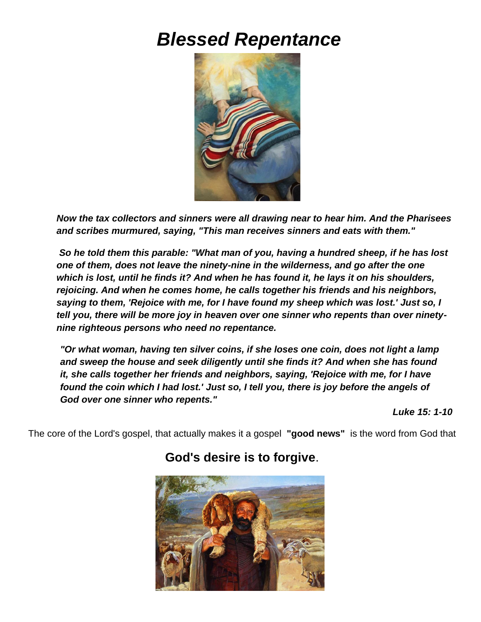# *Blessed Repentance*



*Now the tax collectors and sinners were all drawing near to hear him. And the Pharisees and scribes murmured, saying, "This man receives sinners and eats with them."*

*So he told them this parable: "What man of you, having a hundred sheep, if he has lost one of them, does not leave the ninety-nine in the wilderness, and go after the one which is lost, until he finds it? And when he has found it, he lays it on his shoulders, rejoicing. And when he comes home, he calls together his friends and his neighbors, saying to them, 'Rejoice with me, for I have found my sheep which was lost.' Just so, I tell you, there will be more joy in heaven over one sinner who repents than over ninetynine righteous persons who need no repentance.*

*"Or what woman, having ten silver coins, if she loses one coin, does not light a lamp and sweep the house and seek diligently until she finds it? And when she has found it, she calls together her friends and neighbors, saying, 'Rejoice with me, for I have found the coin which I had lost.' Just so, I tell you, there is joy before the angels of God over one sinner who repents."* 

*Luke 15: 1-10*

The core of the Lord's gospel, that actually makes it a gospel **"good news"** is the word from God that



# **God's desire is to forgive**.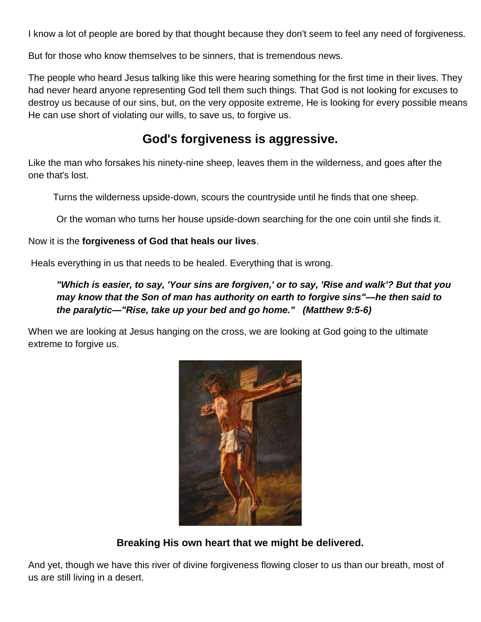I know a lot of people are bored by that thought because they don't seem to feel any need of forgiveness.

But for those who know themselves to be sinners, that is tremendous news.

The people who heard Jesus talking like this were hearing something for the first time in their lives. They had never heard anyone representing God tell them such things. That God is not looking for excuses to destroy us because of our sins, but, on the very opposite extreme, He is looking for every possible means He can use short of violating our wills, to save us, to forgive us.

# **God's forgiveness is aggressive.**

Like the man who forsakes his ninety-nine sheep, leaves them in the wilderness, and goes after the one that's lost.

Turns the wilderness upside-down, scours the countryside until he finds that one sheep.

Or the woman who turns her house upside-down searching for the one coin until she finds it.

Now it is the **forgiveness of God that heals our lives**.

Heals everything in us that needs to be healed. Everything that is wrong.

# *"Which is easier, to say, 'Your sins are forgiven,' or to say, 'Rise and walk'? But that you may know that the Son of man has authority on earth to forgive sins"—he then said to the paralytic—"Rise, take up your bed and go home." (Matthew 9:5-6)*

When we are looking at Jesus hanging on the cross, we are looking at God going to the ultimate extreme to forgive us.



# **Breaking His own heart that we might be delivered.**

And yet, though we have this river of divine forgiveness flowing closer to us than our breath, most of us are still living in a desert.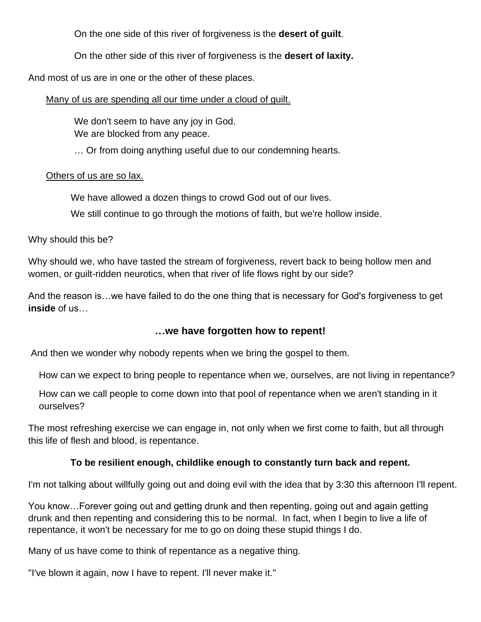On the one side of this river of forgiveness is the **desert of guilt**.

On the other side of this river of forgiveness is the **desert of laxity.**

And most of us are in one or the other of these places.

Many of us are spending all our time under a cloud of guilt.

We don't seem to have any joy in God. We are blocked from any peace.

… Or from doing anything useful due to our condemning hearts.

#### Others of us are so lax.

We have allowed a dozen things to crowd God out of our lives.

We still continue to go through the motions of faith, but we're hollow inside.

Why should this be?

Why should we, who have tasted the stream of forgiveness, revert back to being hollow men and women, or guilt-ridden neurotics, when that river of life flows right by our side?

And the reason is…we have failed to do the one thing that is necessary for God's forgiveness to get **inside** of us…

# **…we have forgotten how to repent!**

And then we wonder why nobody repents when we bring the gospel to them.

How can we expect to bring people to repentance when we, ourselves, are not living in repentance?

How can we call people to come down into that pool of repentance when we aren't standing in it ourselves?

The most refreshing exercise we can engage in, not only when we first come to faith, but all through this life of flesh and blood, is repentance.

# **To be resilient enough, childlike enough to constantly turn back and repent.**

I'm not talking about willfully going out and doing evil with the idea that by 3:30 this afternoon I'll repent.

You know…Forever going out and getting drunk and then repenting, going out and again getting drunk and then repenting and considering this to be normal. In fact, when I begin to live a life of repentance, it won't be necessary for me to go on doing these stupid things I do.

Many of us have come to think of repentance as a negative thing.

"I've blown it again, now I have to repent. I'll never make it."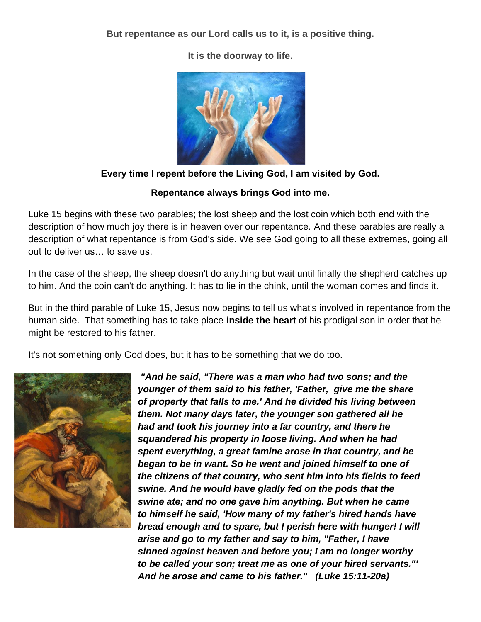**But repentance as our Lord calls us to it, is a positive thing.**



**It is the doorway to life.**

# **Every time I repent before the Living God, I am visited by God.**

#### **Repentance always brings God into me.**

Luke 15 begins with these two parables; the lost sheep and the lost coin which both end with the description of how much joy there is in heaven over our repentance. And these parables are really a description of what repentance is from God's side. We see God going to all these extremes, going all out to deliver us… to save us.

In the case of the sheep, the sheep doesn't do anything but wait until finally the shepherd catches up to him. And the coin can't do anything. It has to lie in the chink, until the woman comes and finds it.

But in the third parable of Luke 15, Jesus now begins to tell us what's involved in repentance from the human side. That something has to take place **inside the heart** of his prodigal son in order that he might be restored to his father.

It's not something only God does, but it has to be something that we do too.



*"And he said, "There was a man who had two sons; and the younger of them said to his father, 'Father, give me the share of property that falls to me.' And he divided his living between them. Not many days later, the younger son gathered all he had and took his journey into a far country, and there he squandered his property in loose living. And when he had spent everything, a great famine arose in that country, and he began to be in want. So he went and joined himself to one of the citizens of that country, who sent him into his fields to feed swine. And he would have gladly fed on the pods that the swine ate; and no one gave him anything. But when he came to himself he said, 'How many of my father's hired hands have bread enough and to spare, but I perish here with hunger! I will arise and go to my father and say to him, "Father, I have sinned against heaven and before you; I am no longer worthy to be called your son; treat me as one of your hired servants."' And he arose and came to his father." (Luke 15:11-20a)*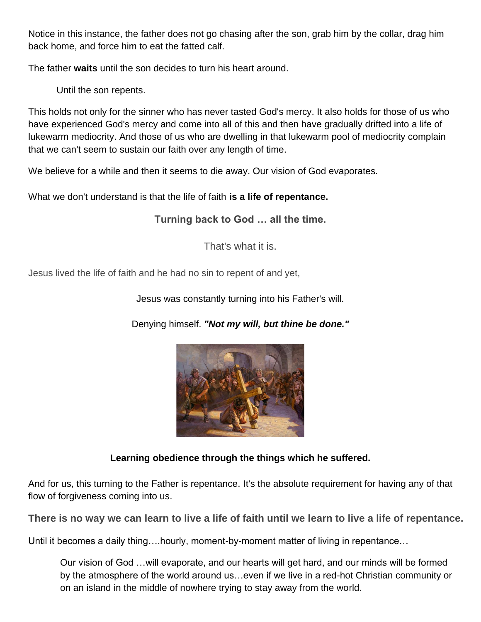Notice in this instance, the father does not go chasing after the son, grab him by the collar, drag him back home, and force him to eat the fatted calf.

The father **waits** until the son decides to turn his heart around.

Until the son repents.

This holds not only for the sinner who has never tasted God's mercy. It also holds for those of us who have experienced God's mercy and come into all of this and then have gradually drifted into a life of lukewarm mediocrity. And those of us who are dwelling in that lukewarm pool of mediocrity complain that we can't seem to sustain our faith over any length of time.

We believe for a while and then it seems to die away. Our vision of God evaporates.

What we don't understand is that the life of faith **is a life of repentance.**

**Turning back to God … all the time.**

That's what it is.

Jesus lived the life of faith and he had no sin to repent of and yet,

Jesus was constantly turning into his Father's will.

Denying himself. *"Not my will, but thine be done."*



# **Learning obedience through the things which he suffered.**

And for us, this turning to the Father is repentance. It's the absolute requirement for having any of that flow of forgiveness coming into us.

**There is no way we can learn to live a life of faith until we learn to live a life of repentance.**

Until it becomes a daily thing….hourly, moment-by-moment matter of living in repentance…

Our vision of God …will evaporate, and our hearts will get hard, and our minds will be formed by the atmosphere of the world around us…even if we live in a red-hot Christian community or on an island in the middle of nowhere trying to stay away from the world.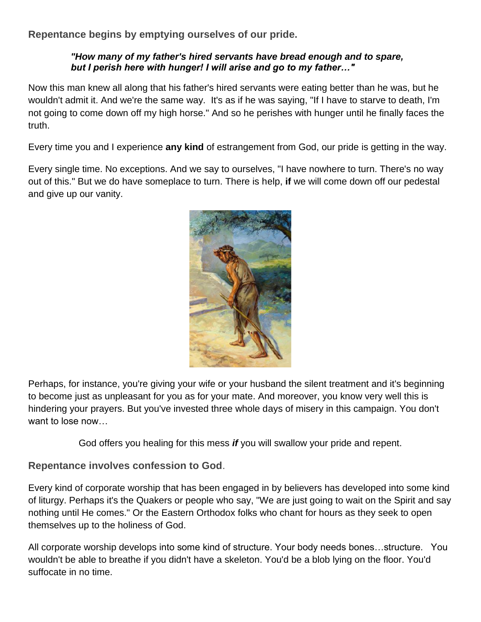**Repentance begins by emptying ourselves of our pride.**

#### *"How many of my father's hired servants have bread enough and to spare, but I perish here with hunger! I will arise and go to my father…"*

Now this man knew all along that his father's hired servants were eating better than he was, but he wouldn't admit it. And we're the same way. It's as if he was saying, "If I have to starve to death, I'm not going to come down off my high horse." And so he perishes with hunger until he finally faces the truth.

Every time you and I experience **any kind** of estrangement from God, our pride is getting in the way.

Every single time. No exceptions. And we say to ourselves, "I have nowhere to turn. There's no way out of this." But we do have someplace to turn. There is help, **if** we will come down off our pedestal and give up our vanity.



Perhaps, for instance, you're giving your wife or your husband the silent treatment and it's beginning to become just as unpleasant for you as for your mate. And moreover, you know very well this is hindering your prayers. But you've invested three whole days of misery in this campaign. You don't want to lose now…

God offers you healing for this mess *if* you will swallow your pride and repent.

# **Repentance involves confession to God**.

Every kind of corporate worship that has been engaged in by believers has developed into some kind of liturgy. Perhaps it's the Quakers or people who say, "We are just going to wait on the Spirit and say nothing until He comes." Or the Eastern Orthodox folks who chant for hours as they seek to open themselves up to the holiness of God.

All corporate worship develops into some kind of structure. Your body needs bones…structure. You wouldn't be able to breathe if you didn't have a skeleton. You'd be a blob lying on the floor. You'd suffocate in no time.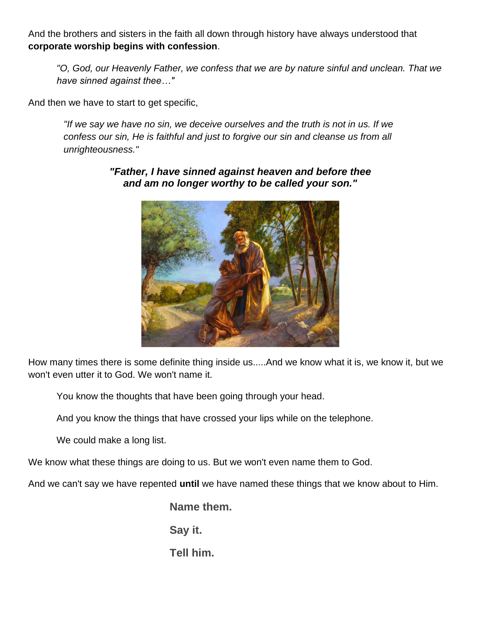And the brothers and sisters in the faith all down through history have always understood that **corporate worship begins with confession**.

*"O, God, our Heavenly Father, we confess that we are by nature sinful and unclean. That we have sinned against thee…"*

And then we have to start to get specific,

*"If we say we have no sin, we deceive ourselves and the truth is not in us. If we confess our sin, He is faithful and just to forgive our sin and cleanse us from all unrighteousness."*



*"Father, I have sinned against heaven and before thee and am no longer worthy to be called your son."*

How many times there is some definite thing inside us.....And we know what it is, we know it, but we won't even utter it to God. We won't name it.

You know the thoughts that have been going through your head.

And you know the things that have crossed your lips while on the telephone.

We could make a long list.

We know what these things are doing to us. But we won't even name them to God.

And we can't say we have repented **until** we have named these things that we know about to Him.

**Name them.**

**Say it.**

**Tell him.**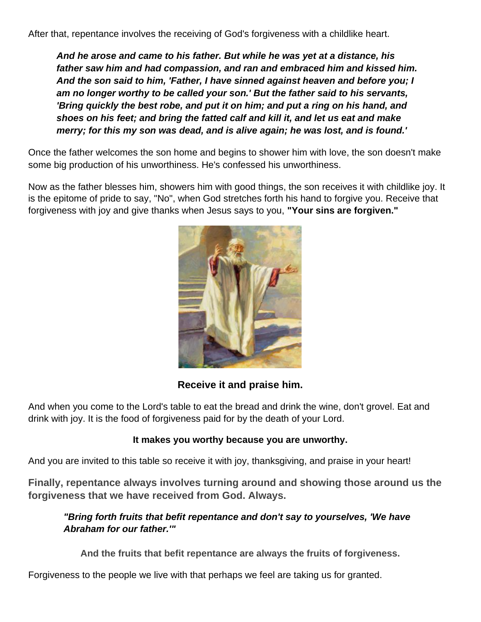After that, repentance involves the receiving of God's forgiveness with a childlike heart.

*And he arose and came to his father. But while he was yet at a distance, his father saw him and had compassion, and ran and embraced him and kissed him. And the son said to him, 'Father, I have sinned against heaven and before you; I am no longer worthy to be called your son.' But the father said to his servants, 'Bring quickly the best robe, and put it on him; and put a ring on his hand, and shoes on his feet; and bring the fatted calf and kill it, and let us eat and make merry; for this my son was dead, and is alive again; he was lost, and is found.'*

Once the father welcomes the son home and begins to shower him with love, the son doesn't make some big production of his unworthiness. He's confessed his unworthiness.

Now as the father blesses him, showers him with good things, the son receives it with childlike joy. It is the epitome of pride to say, "No", when God stretches forth his hand to forgive you. Receive that forgiveness with joy and give thanks when Jesus says to you, **"Your sins are forgiven."**



**Receive it and praise him.**

And when you come to the Lord's table to eat the bread and drink the wine, don't grovel. Eat and drink with joy. It is the food of forgiveness paid for by the death of your Lord.

#### **It makes you worthy because you are unworthy.**

And you are invited to this table so receive it with joy, thanksgiving, and praise in your heart!

**Finally, repentance always involves turning around and showing those around us the forgiveness that we have received from God. Always.**

#### *"Bring forth fruits that befit repentance and don't say to yourselves, 'We have Abraham for our father.'"*

**And the fruits that befit repentance are always the fruits of forgiveness.**

Forgiveness to the people we live with that perhaps we feel are taking us for granted.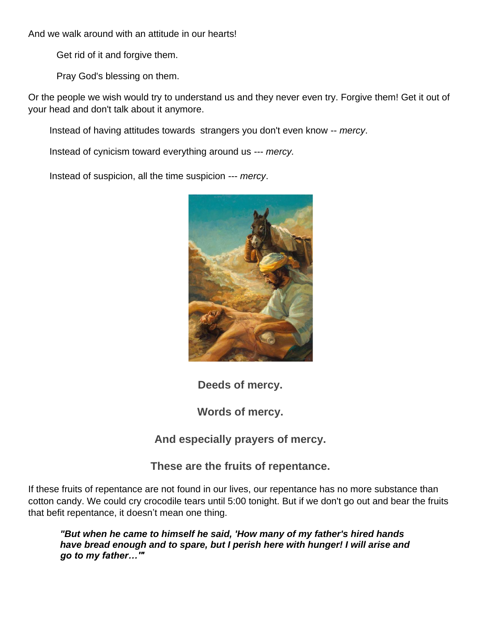And we walk around with an attitude in our hearts!

Get rid of it and forgive them.

Pray God's blessing on them.

Or the people we wish would try to understand us and they never even try. Forgive them! Get it out of your head and don't talk about it anymore.

Instead of having attitudes towards strangers you don't even know -- *mercy*.

Instead of cynicism toward everything around us --- *mercy.*

Instead of suspicion, all the time suspicion --- *mercy*.



**Deeds of mercy.**

**Words of mercy.**

**And especially prayers of mercy.**

**These are the fruits of repentance.**

If these fruits of repentance are not found in our lives, our repentance has no more substance than cotton candy. We could cry crocodile tears until 5:00 tonight. But if we don't go out and bear the fruits that befit repentance, it doesn't mean one thing.

*"But when he came to himself he said, 'How many of my father's hired hands have bread enough and to spare, but I perish here with hunger! I will arise and go to my father…'"*